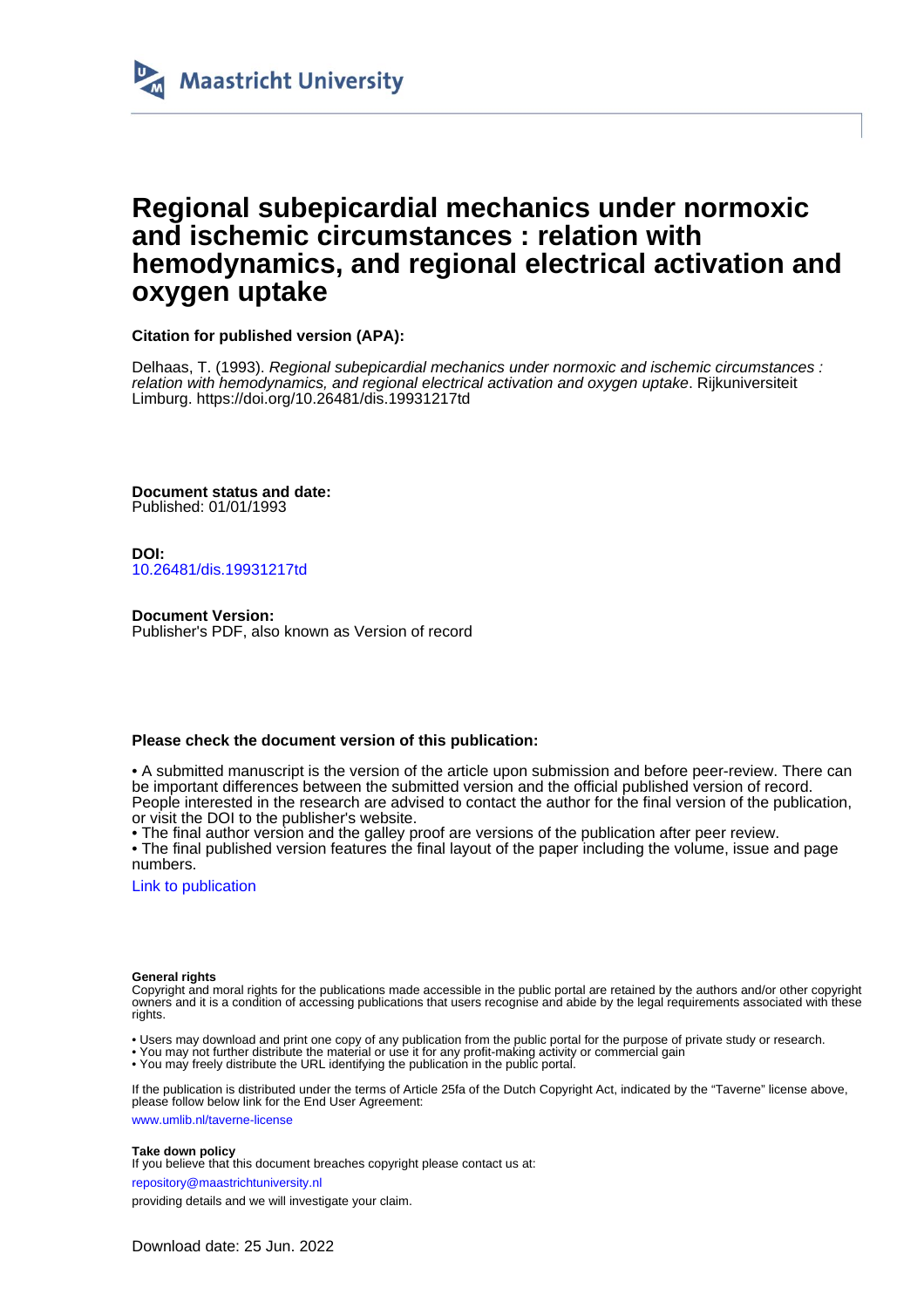

# **Regional subepicardial mechanics under normoxic and ischemic circumstances : relation with hemodynamics, and regional electrical activation and oxygen uptake**

**Citation for published version (APA):**

Delhaas, T. (1993). Regional subepicardial mechanics under normoxic and ischemic circumstances : relation with hemodynamics, and regional electrical activation and oxygen uptake. Rijkuniversiteit Limburg. <https://doi.org/10.26481/dis.19931217td>

**Document status and date:** Published: 01/01/1993

**DOI:** [10.26481/dis.19931217td](https://doi.org/10.26481/dis.19931217td)

**Document Version:** Publisher's PDF, also known as Version of record

## **Please check the document version of this publication:**

• A submitted manuscript is the version of the article upon submission and before peer-review. There can be important differences between the submitted version and the official published version of record. People interested in the research are advised to contact the author for the final version of the publication, or visit the DOI to the publisher's website.

• The final author version and the galley proof are versions of the publication after peer review.

• The final published version features the final layout of the paper including the volume, issue and page numbers.

[Link to publication](https://cris.maastrichtuniversity.nl/en/publications/04d4e8ee-704b-407c-9201-4b1b67fa10e9)

#### **General rights**

Copyright and moral rights for the publications made accessible in the public portal are retained by the authors and/or other copyright owners and it is a condition of accessing publications that users recognise and abide by the legal requirements associated with these rights.

• Users may download and print one copy of any publication from the public portal for the purpose of private study or research.

• You may not further distribute the material or use it for any profit-making activity or commercial gain

• You may freely distribute the URL identifying the publication in the public portal.

If the publication is distributed under the terms of Article 25fa of the Dutch Copyright Act, indicated by the "Taverne" license above, please follow below link for the End User Agreement:

www.umlib.nl/taverne-license

### **Take down policy**

If you believe that this document breaches copyright please contact us at:

repository@maastrichtuniversity.nl

providing details and we will investigate your claim.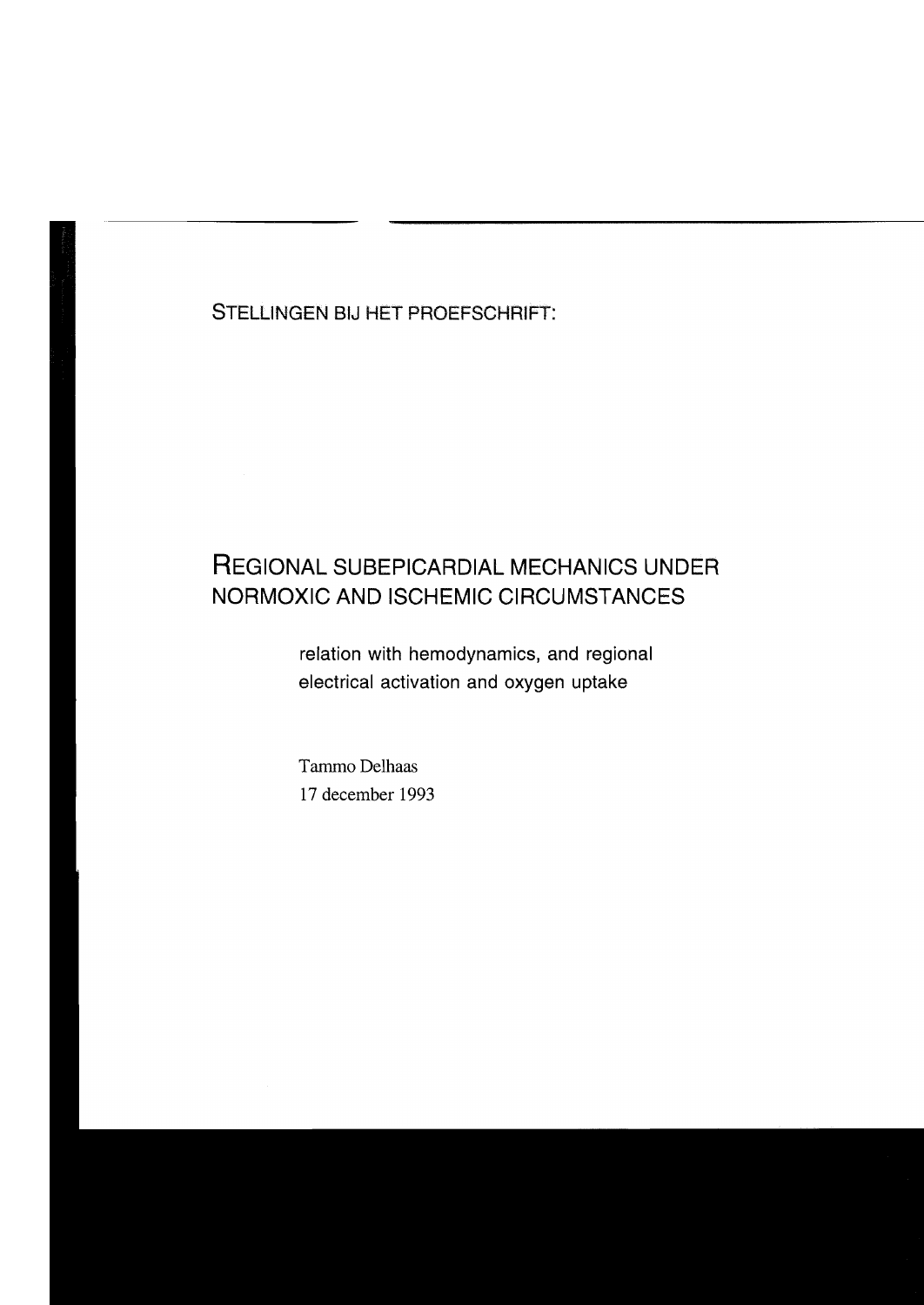STELLINGEN BIJ HET PROEFSCHRIFT:

# REGIONAL SUBEPICARDIAL MECHANICS UNDER NORMOXIC AND ISCHEMIC CIRCUMSTANCES

relation with hemodynamics, and regional electrical activation and oxygen uptake

Tammo Delhaas 17 december 1993